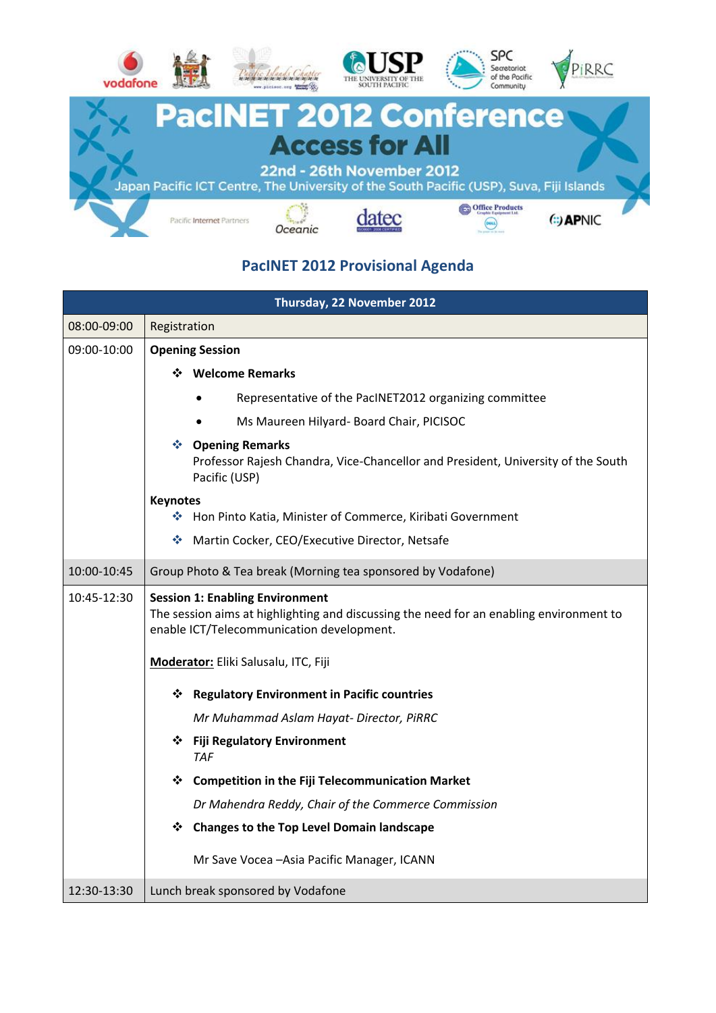

#### **PacINET 2012 Provisional Agenda**

| <b>Thursday, 22 November 2012</b> |                                                                                                                                                                                |
|-----------------------------------|--------------------------------------------------------------------------------------------------------------------------------------------------------------------------------|
| 08:00-09:00                       | Registration                                                                                                                                                                   |
| 09:00-10:00                       | <b>Opening Session</b>                                                                                                                                                         |
|                                   | ❖ Welcome Remarks                                                                                                                                                              |
|                                   | Representative of the PacINET2012 organizing committee                                                                                                                         |
|                                   | Ms Maureen Hilyard- Board Chair, PICISOC                                                                                                                                       |
|                                   | ❖ Opening Remarks<br>Professor Rajesh Chandra, Vice-Chancellor and President, University of the South<br>Pacific (USP)                                                         |
|                                   | <b>Keynotes</b>                                                                                                                                                                |
|                                   | ◆ Hon Pinto Katia, Minister of Commerce, Kiribati Government                                                                                                                   |
|                                   | ❖<br>Martin Cocker, CEO/Executive Director, Netsafe                                                                                                                            |
| 10:00-10:45                       | Group Photo & Tea break (Morning tea sponsored by Vodafone)                                                                                                                    |
| 10:45-12:30                       | <b>Session 1: Enabling Environment</b><br>The session aims at highlighting and discussing the need for an enabling environment to<br>enable ICT/Telecommunication development. |
|                                   | Moderator: Eliki Salusalu, ITC, Fiji                                                                                                                                           |
|                                   | ❖ Regulatory Environment in Pacific countries                                                                                                                                  |
|                                   | Mr Muhammad Aslam Hayat-Director, PiRRC                                                                                                                                        |
|                                   | ❖ Fiji Regulatory Environment<br><b>TAF</b>                                                                                                                                    |
|                                   | ❖ Competition in the Fiji Telecommunication Market                                                                                                                             |
|                                   | Dr Mahendra Reddy, Chair of the Commerce Commission                                                                                                                            |
|                                   | <b>Changes to the Top Level Domain landscape</b><br>❖                                                                                                                          |
|                                   | Mr Save Vocea - Asia Pacific Manager, ICANN                                                                                                                                    |
| 12:30-13:30                       | Lunch break sponsored by Vodafone                                                                                                                                              |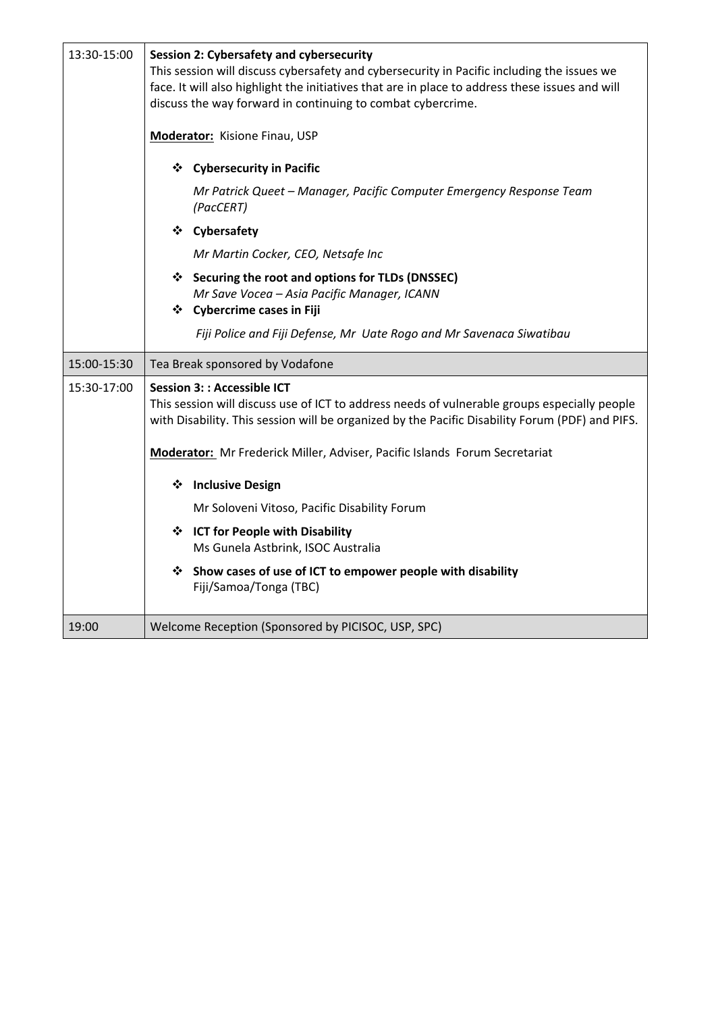| 13:30-15:00 | <b>Session 2: Cybersafety and cybersecurity</b><br>This session will discuss cybersafety and cybersecurity in Pacific including the issues we<br>face. It will also highlight the initiatives that are in place to address these issues and will<br>discuss the way forward in continuing to combat cybercrime.<br><b>Moderator:</b> Kisione Finau, USP<br><b>Cybersecurity in Pacific</b><br>❖<br>Mr Patrick Queet - Manager, Pacific Computer Emergency Response Team<br>(PacCERT)<br>❖ Cybersafety<br>Mr Martin Cocker, CEO, Netsafe Inc<br>❖ Securing the root and options for TLDs (DNSSEC)<br>Mr Save Vocea - Asia Pacific Manager, ICANN<br>❖ Cybercrime cases in Fiji |
|-------------|-------------------------------------------------------------------------------------------------------------------------------------------------------------------------------------------------------------------------------------------------------------------------------------------------------------------------------------------------------------------------------------------------------------------------------------------------------------------------------------------------------------------------------------------------------------------------------------------------------------------------------------------------------------------------------|
|             | Fiji Police and Fiji Defense, Mr Uate Rogo and Mr Savenaca Siwatibau                                                                                                                                                                                                                                                                                                                                                                                                                                                                                                                                                                                                          |
|             |                                                                                                                                                                                                                                                                                                                                                                                                                                                                                                                                                                                                                                                                               |
| 15:00-15:30 | Tea Break sponsored by Vodafone                                                                                                                                                                                                                                                                                                                                                                                                                                                                                                                                                                                                                                               |
| 15:30-17:00 | <b>Session 3:: Accessible ICT</b><br>This session will discuss use of ICT to address needs of vulnerable groups especially people<br>with Disability. This session will be organized by the Pacific Disability Forum (PDF) and PIFS.<br>Moderator: Mr Frederick Miller, Adviser, Pacific Islands Forum Secretariat<br><b>Inclusive Design</b><br>❖<br>Mr Soloveni Vitoso, Pacific Disability Forum<br>❖ ICT for People with Disability<br>Ms Gunela Astbrink, ISOC Australia<br>Show cases of use of ICT to empower people with disability<br>❖<br>Fiji/Samoa/Tonga (TBC)                                                                                                     |
| 19:00       | Welcome Reception (Sponsored by PICISOC, USP, SPC)                                                                                                                                                                                                                                                                                                                                                                                                                                                                                                                                                                                                                            |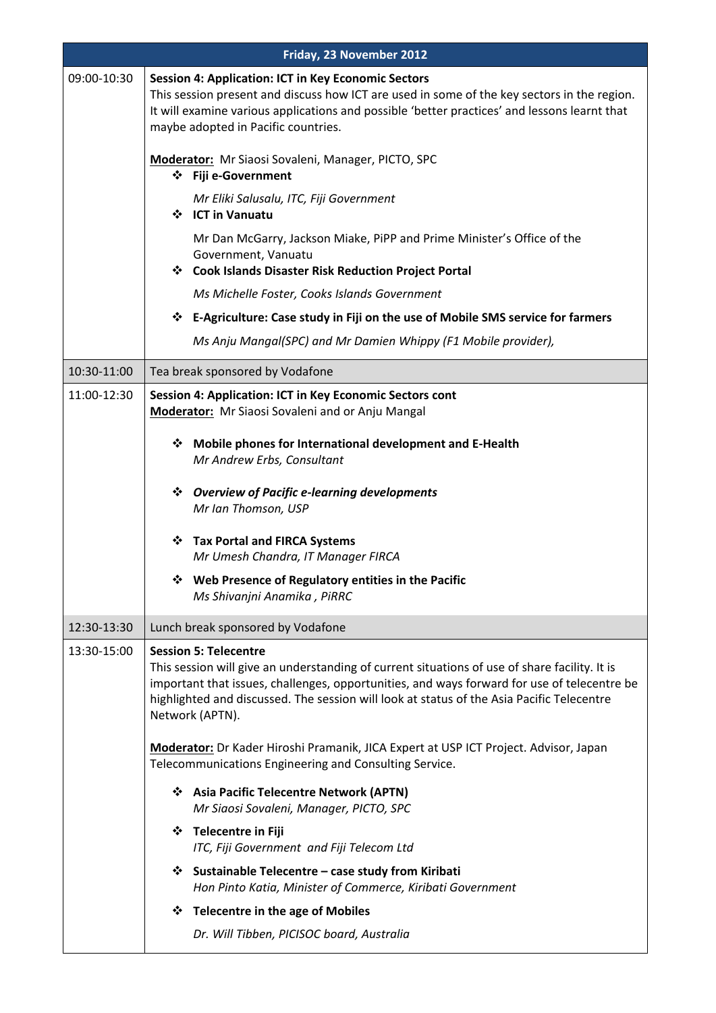| Friday, 23 November 2012 |                                                                                                                                                                                                                                                                                                                                              |
|--------------------------|----------------------------------------------------------------------------------------------------------------------------------------------------------------------------------------------------------------------------------------------------------------------------------------------------------------------------------------------|
| 09:00-10:30              | <b>Session 4: Application: ICT in Key Economic Sectors</b><br>This session present and discuss how ICT are used in some of the key sectors in the region.<br>It will examine various applications and possible 'better practices' and lessons learnt that<br>maybe adopted in Pacific countries.                                             |
|                          | Moderator: Mr Siaosi Sovaleni, Manager, PICTO, SPC<br>❖ Fiji e-Government                                                                                                                                                                                                                                                                    |
|                          | Mr Eliki Salusalu, ITC, Fiji Government<br>❖ ICT in Vanuatu                                                                                                                                                                                                                                                                                  |
|                          | Mr Dan McGarry, Jackson Miake, PiPP and Prime Minister's Office of the<br>Government, Vanuatu<br>❖ Cook Islands Disaster Risk Reduction Project Portal                                                                                                                                                                                       |
|                          | Ms Michelle Foster, Cooks Islands Government                                                                                                                                                                                                                                                                                                 |
|                          | E-Agriculture: Case study in Fiji on the use of Mobile SMS service for farmers<br>❖                                                                                                                                                                                                                                                          |
|                          | Ms Anju Mangal(SPC) and Mr Damien Whippy (F1 Mobile provider),                                                                                                                                                                                                                                                                               |
| 10:30-11:00              | Tea break sponsored by Vodafone                                                                                                                                                                                                                                                                                                              |
| 11:00-12:30              | Session 4: Application: ICT in Key Economic Sectors cont<br><b>Moderator:</b> Mr Siaosi Sovaleni and or Anju Mangal                                                                                                                                                                                                                          |
|                          | Mobile phones for International development and E-Health<br>❖<br>Mr Andrew Erbs, Consultant                                                                                                                                                                                                                                                  |
|                          | ❖ Overview of Pacific e-learning developments<br>Mr Ian Thomson, USP                                                                                                                                                                                                                                                                         |
|                          | <b>Tax Portal and FIRCA Systems</b><br>❖<br>Mr Umesh Chandra, IT Manager FIRCA                                                                                                                                                                                                                                                               |
|                          | Web Presence of Regulatory entities in the Pacific<br>❖<br>Ms Shivanjni Anamika, PiRRC                                                                                                                                                                                                                                                       |
| 12:30-13:30              | Lunch break sponsored by Vodafone                                                                                                                                                                                                                                                                                                            |
| 13:30-15:00              | <b>Session 5: Telecentre</b><br>This session will give an understanding of current situations of use of share facility. It is<br>important that issues, challenges, opportunities, and ways forward for use of telecentre be<br>highlighted and discussed. The session will look at status of the Asia Pacific Telecentre<br>Network (APTN). |
|                          | Moderator: Dr Kader Hiroshi Pramanik, JICA Expert at USP ICT Project. Advisor, Japan<br>Telecommunications Engineering and Consulting Service.                                                                                                                                                                                               |
|                          | <b>Asia Pacific Telecentre Network (APTN)</b><br>❖<br>Mr Siaosi Sovaleni, Manager, PICTO, SPC                                                                                                                                                                                                                                                |
|                          | ❖ Telecentre in Fiji<br>ITC, Fiji Government and Fiji Telecom Ltd                                                                                                                                                                                                                                                                            |
|                          | ❖ Sustainable Telecentre – case study from Kiribati<br>Hon Pinto Katia, Minister of Commerce, Kiribati Government                                                                                                                                                                                                                            |
|                          | <b>Telecentre in the age of Mobiles</b><br>❖                                                                                                                                                                                                                                                                                                 |
|                          | Dr. Will Tibben, PICISOC board, Australia                                                                                                                                                                                                                                                                                                    |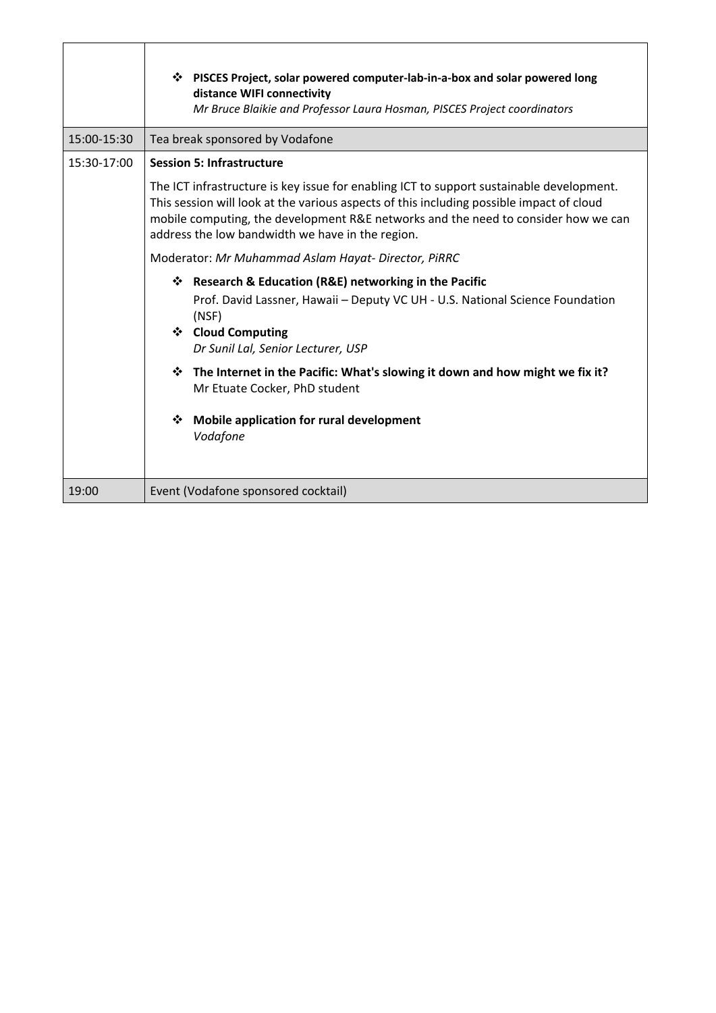|             | ❖ PISCES Project, solar powered computer-lab-in-a-box and solar powered long<br>distance WIFI connectivity<br>Mr Bruce Blaikie and Professor Laura Hosman, PISCES Project coordinators                                                                                                                                         |
|-------------|--------------------------------------------------------------------------------------------------------------------------------------------------------------------------------------------------------------------------------------------------------------------------------------------------------------------------------|
| 15:00-15:30 | Tea break sponsored by Vodafone                                                                                                                                                                                                                                                                                                |
| 15:30-17:00 | <b>Session 5: Infrastructure</b>                                                                                                                                                                                                                                                                                               |
|             | The ICT infrastructure is key issue for enabling ICT to support sustainable development.<br>This session will look at the various aspects of this including possible impact of cloud<br>mobile computing, the development R&E networks and the need to consider how we can<br>address the low bandwidth we have in the region. |
|             | Moderator: Mr Muhammad Aslam Hayat- Director, PiRRC                                                                                                                                                                                                                                                                            |
|             | Research & Education (R&E) networking in the Pacific<br>❖<br>Prof. David Lassner, Hawaii - Deputy VC UH - U.S. National Science Foundation<br>(NSF)<br>❖ Cloud Computing<br>Dr Sunil Lal, Senior Lecturer, USP                                                                                                                 |
|             | <b>☆</b> The Internet in the Pacific: What's slowing it down and how might we fix it?<br>Mr Etuate Cocker, PhD student                                                                                                                                                                                                         |
|             | ❖<br><b>Mobile application for rural development</b><br>Vodafone                                                                                                                                                                                                                                                               |
| 19:00       | Event (Vodafone sponsored cocktail)                                                                                                                                                                                                                                                                                            |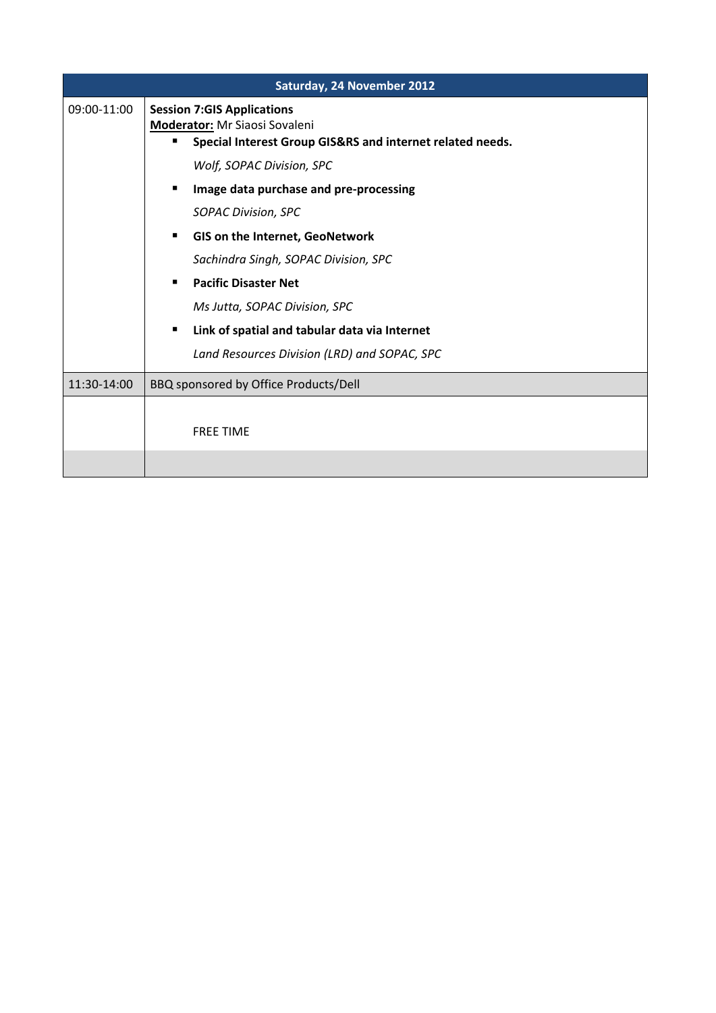| Saturday, 24 November 2012 |                                                                                                                                 |
|----------------------------|---------------------------------------------------------------------------------------------------------------------------------|
| 09:00-11:00                | <b>Session 7:GIS Applications</b><br>Moderator: Mr Siaosi Sovaleni<br>Special Interest Group GIS&RS and internet related needs. |
|                            | Wolf, SOPAC Division, SPC                                                                                                       |
|                            | Image data purchase and pre-processing<br>٠                                                                                     |
|                            | <b>SOPAC Division, SPC</b>                                                                                                      |
|                            | <b>GIS on the Internet, GeoNetwork</b><br>٠                                                                                     |
|                            | Sachindra Singh, SOPAC Division, SPC                                                                                            |
|                            | <b>Pacific Disaster Net</b><br>٠                                                                                                |
|                            | Ms Jutta, SOPAC Division, SPC                                                                                                   |
|                            | Link of spatial and tabular data via Internet<br>п                                                                              |
|                            | Land Resources Division (LRD) and SOPAC, SPC                                                                                    |
| 11:30-14:00                | BBQ sponsored by Office Products/Dell                                                                                           |
|                            |                                                                                                                                 |
|                            | <b>FREE TIME</b>                                                                                                                |
|                            |                                                                                                                                 |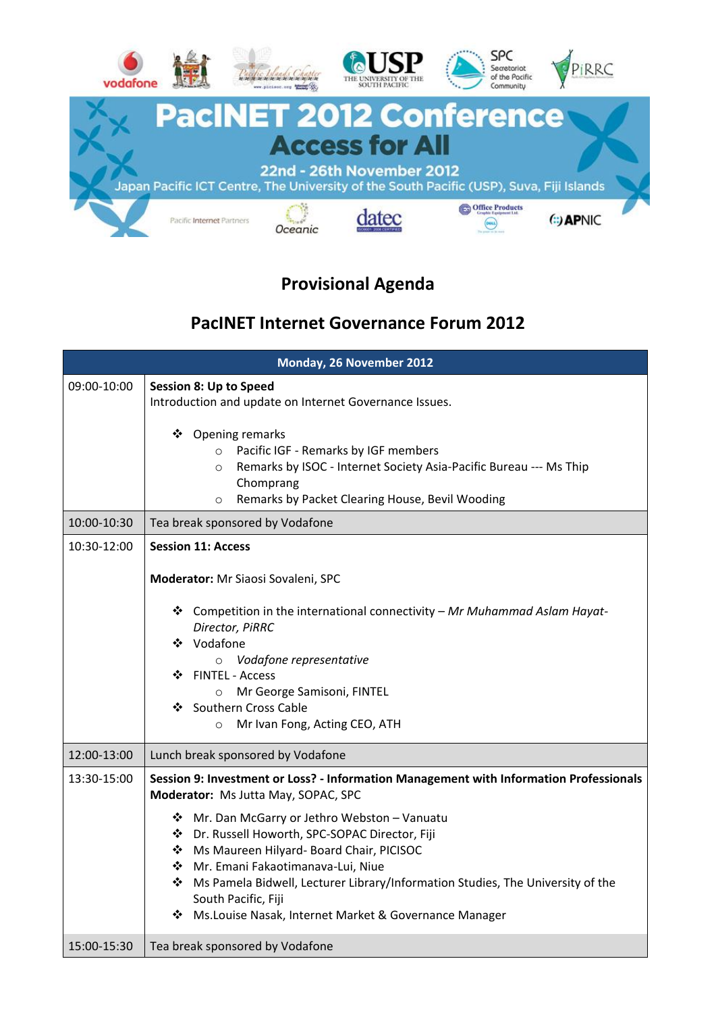

## **Provisional Agenda**

### **PacINET Internet Governance Forum 2012**

| Monday, 26 November 2012 |                                                                                                                                                                                                                                                                                                                                                                                                                                                                                             |
|--------------------------|---------------------------------------------------------------------------------------------------------------------------------------------------------------------------------------------------------------------------------------------------------------------------------------------------------------------------------------------------------------------------------------------------------------------------------------------------------------------------------------------|
| 09:00-10:00              | <b>Session 8: Up to Speed</b><br>Introduction and update on Internet Governance Issues.<br>Opening remarks<br>❖<br>Pacific IGF - Remarks by IGF members<br>$\circ$<br>Remarks by ISOC - Internet Society Asia-Pacific Bureau --- Ms Thip<br>$\circ$<br>Chomprang<br>Remarks by Packet Clearing House, Bevil Wooding<br>$\circ$                                                                                                                                                              |
| 10:00-10:30              | Tea break sponsored by Vodafone                                                                                                                                                                                                                                                                                                                                                                                                                                                             |
| 10:30-12:00              | <b>Session 11: Access</b><br>Moderator: Mr Siaosi Sovaleni, SPC<br>* Competition in the international connectivity - Mr Muhammad Aslam Hayat-<br>Director, PiRRC<br>❖ Vodafone<br>Vodafone representative<br>$\circ$<br>❖ FINTEL - Access<br>Mr George Samisoni, FINTEL<br>$\circ$<br>❖ Southern Cross Cable<br>Mr Ivan Fong, Acting CEO, ATH<br>$\circ$                                                                                                                                    |
| 12:00-13:00              | Lunch break sponsored by Vodafone                                                                                                                                                                                                                                                                                                                                                                                                                                                           |
| 13:30-15:00              | Session 9: Investment or Loss? - Information Management with Information Professionals<br>Moderator: Ms Jutta May, SOPAC, SPC<br>❖ Mr. Dan McGarry or Jethro Webston - Vanuatu<br>❖ Dr. Russell Howorth, SPC-SOPAC Director, Fiji<br>Ms Maureen Hilyard- Board Chair, PICISOC<br>❖ Mr. Emani Fakaotimanava-Lui, Niue<br>* Ms Pamela Bidwell, Lecturer Library/Information Studies, The University of the<br>South Pacific, Fiji<br>❖ Ms. Louise Nasak, Internet Market & Governance Manager |
| 15:00-15:30              | Tea break sponsored by Vodafone                                                                                                                                                                                                                                                                                                                                                                                                                                                             |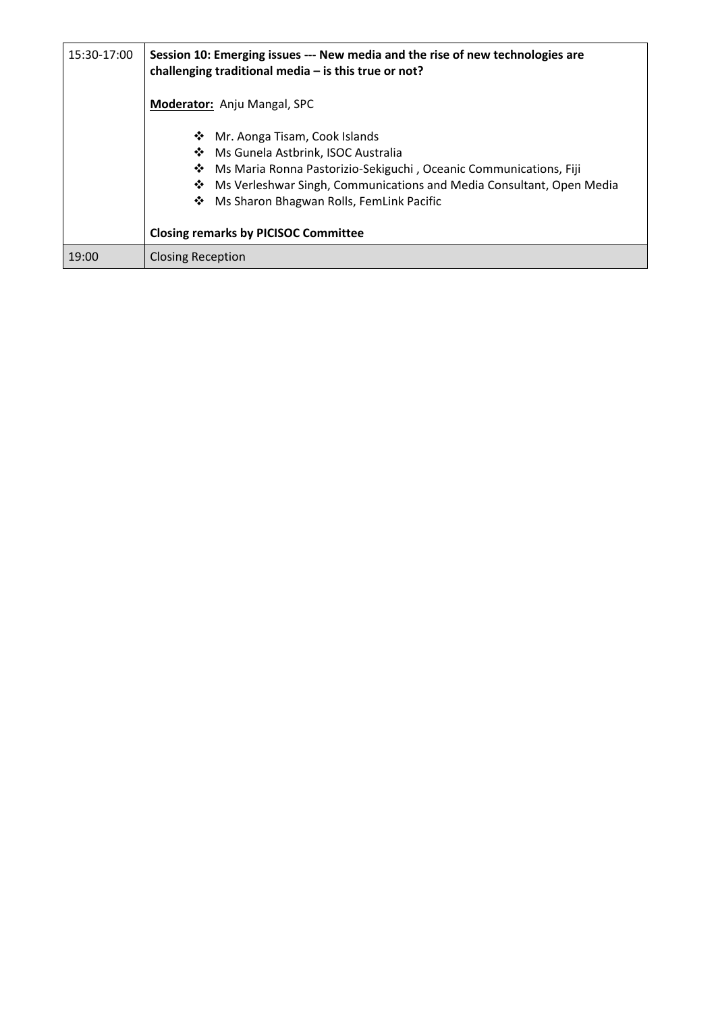| 15:30-17:00 | Session 10: Emerging issues --- New media and the rise of new technologies are<br>challenging traditional media $-$ is this true or not?                                                                                                                                                                                     |
|-------------|------------------------------------------------------------------------------------------------------------------------------------------------------------------------------------------------------------------------------------------------------------------------------------------------------------------------------|
|             | Moderator: Anju Mangal, SPC                                                                                                                                                                                                                                                                                                  |
|             | Mr. Aonga Tisam, Cook Islands<br>❖<br>❖ Ms Gunela Astbrink, ISOC Australia<br>Ms Maria Ronna Pastorizio-Sekiguchi, Oceanic Communications, Fiji<br>❖<br>Ms Verleshwar Singh, Communications and Media Consultant, Open Media<br>❖<br>Ms Sharon Bhagwan Rolls, FemLink Pacific<br><b>Closing remarks by PICISOC Committee</b> |
| 19:00       | <b>Closing Reception</b>                                                                                                                                                                                                                                                                                                     |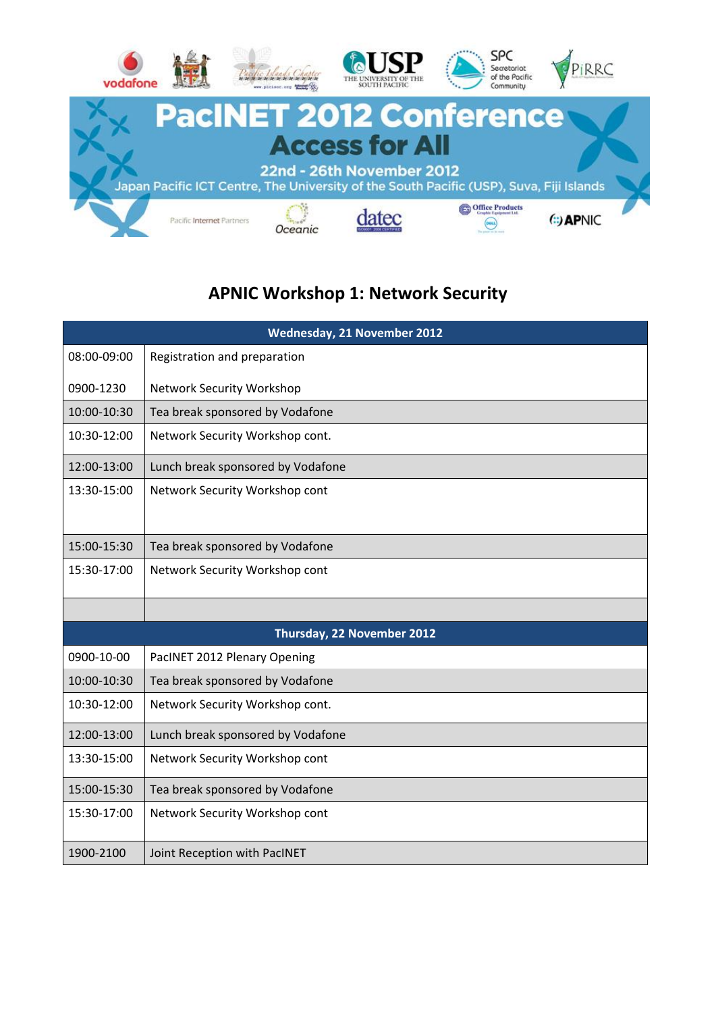

# **APNIC Workshop 1: Network Security**

| Wednesday, 21 November 2012 |                                   |
|-----------------------------|-----------------------------------|
| 08:00-09:00                 | Registration and preparation      |
| 0900-1230                   | Network Security Workshop         |
| 10:00-10:30                 | Tea break sponsored by Vodafone   |
| 10:30-12:00                 | Network Security Workshop cont.   |
| 12:00-13:00                 | Lunch break sponsored by Vodafone |
| 13:30-15:00                 | Network Security Workshop cont    |
| 15:00-15:30                 | Tea break sponsored by Vodafone   |
| 15:30-17:00                 | Network Security Workshop cont    |
|                             |                                   |
|                             | Thursday, 22 November 2012        |
| 0900-10-00                  | PacINET 2012 Plenary Opening      |
| 10:00-10:30                 | Tea break sponsored by Vodafone   |
| 10:30-12:00                 | Network Security Workshop cont.   |
| 12:00-13:00                 | Lunch break sponsored by Vodafone |
| 13:30-15:00                 | Network Security Workshop cont    |
| 15:00-15:30                 | Tea break sponsored by Vodafone   |
| 15:30-17:00                 | Network Security Workshop cont    |
| 1900-2100                   | Joint Reception with PacINET      |